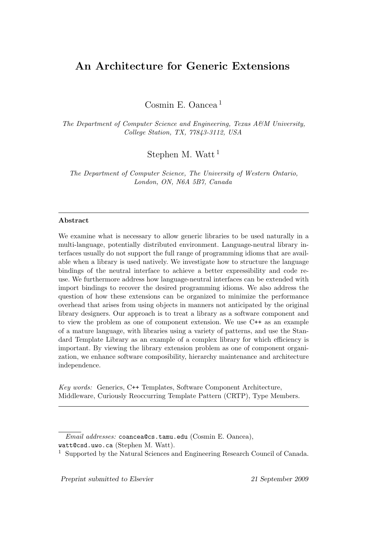# An Architecture for Generic Extensions

Cosmin E. Oancea <sup>1</sup>

The Department of Computer Science and Engineering, Texas A&M University, College Station, TX, 77843-3112, USA

Stephen M. Watt<sup>1</sup>

The Department of Computer Science, The University of Western Ontario, London, ON, N6A 5B7, Canada

#### Abstract

We examine what is necessary to allow generic libraries to be used naturally in a multi-language, potentially distributed environment. Language-neutral library interfaces usually do not support the full range of programming idioms that are available when a library is used natively. We investigate how to structure the language bindings of the neutral interface to achieve a better expressibility and code reuse. We furthermore address how language-neutral interfaces can be extended with import bindings to recover the desired programming idioms. We also address the question of how these extensions can be organized to minimize the performance overhead that arises from using objects in manners not anticipated by the original library designers. Our approach is to treat a library as a software component and to view the problem as one of component extension. We use C++ as an example of a mature language, with libraries using a variety of patterns, and use the Standard Template Library as an example of a complex library for which efficiency is important. By viewing the library extension problem as one of component organization, we enhance software composibility, hierarchy maintenance and architecture independence.

Key words: Generics, C++ Templates, Software Component Architecture, Middleware, Curiously Reoccurring Template Pattern (CRTP), Type Members.

Email addresses: coancea@cs.tamu.edu (Cosmin E. Oancea),

watt@csd.uwo.ca (Stephen M. Watt).

<sup>1</sup> Supported by the Natural Sciences and Engineering Research Council of Canada.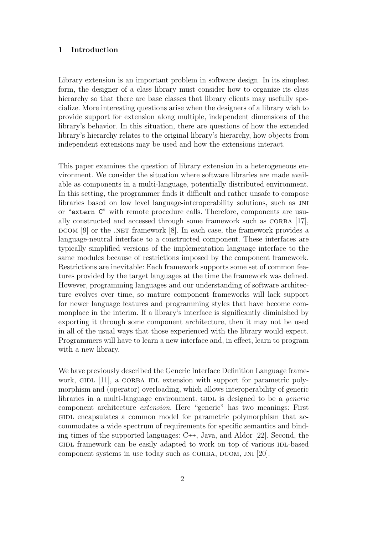## 1 Introduction

Library extension is an important problem in software design. In its simplest form, the designer of a class library must consider how to organize its class hierarchy so that there are base classes that library clients may usefully specialize. More interesting questions arise when the designers of a library wish to provide support for extension along multiple, independent dimensions of the library's behavior. In this situation, there are questions of how the extended library's hierarchy relates to the original library's hierarchy, how objects from independent extensions may be used and how the extensions interact.

This paper examines the question of library extension in a heterogeneous environment. We consider the situation where software libraries are made available as components in a multi-language, potentially distributed environment. In this setting, the programmer finds it difficult and rather unsafe to compose libraries based on low level language-interoperability solutions, such as jni or "extern C" with remote procedure calls. Therefore, components are usually constructed and accessed through some framework such as  $CORBA$  [17],  $DCOM$  [9] or the .NET framework [8]. In each case, the framework provides a language-neutral interface to a constructed component. These interfaces are typically simplified versions of the implementation language interface to the same modules because of restrictions imposed by the component framework. Restrictions are inevitable: Each framework supports some set of common features provided by the target languages at the time the framework was defined. However, programming languages and our understanding of software architecture evolves over time, so mature component frameworks will lack support for newer language features and programming styles that have become commonplace in the interim. If a library's interface is significantly diminished by exporting it through some component architecture, then it may not be used in all of the usual ways that those experienced with the library would expect. Programmers will have to learn a new interface and, in effect, learn to program with a new library.

We have previously described the Generic Interface Definition Language framework, GIDL  $[11]$ , a CORBA IDL extension with support for parametric polymorphism and (operator) overloading, which allows interoperability of generic libraries in a multi-language environment. GIDL is designed to be a *generic* component architecture extension. Here "generic" has two meanings: First gidl encapsulates a common model for parametric polymorphism that accommodates a wide spectrum of requirements for specific semantics and binding times of the supported languages: C++, Java, and Aldor [22]. Second, the GIDL framework can be easily adapted to work on top of various IDL-based component systems in use today such as CORBA, DCOM, JNI  $[20]$ .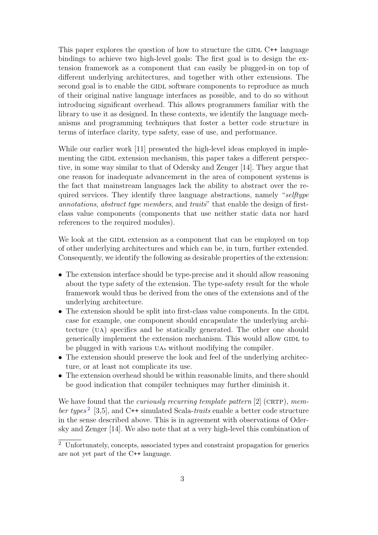This paper explores the question of how to structure the GIDL  $C^{++}$  language bindings to achieve two high-level goals: The first goal is to design the extension framework as a component that can easily be plugged-in on top of different underlying architectures, and together with other extensions. The second goal is to enable the GIDL software components to reproduce as much of their original native language interfaces as possible, and to do so without introducing significant overhead. This allows programmers familiar with the library to use it as designed. In these contexts, we identify the language mechanisms and programming techniques that foster a better code structure in terms of interface clarity, type safety, ease of use, and performance.

While our earlier work [11] presented the high-level ideas employed in implementing the GIDL extension mechanism, this paper takes a different perspective, in some way similar to that of Odersky and Zenger [14]. They argue that one reason for inadequate advancement in the area of component systems is the fact that mainstream languages lack the ability to abstract over the required services. They identify three language abstractions, namely "selftype" annotations, abstract type members, and traits" that enable the design of firstclass value components (components that use neither static data nor hard references to the required modules).

We look at the GIDL extension as a component that can be employed on top of other underlying architectures and which can be, in turn, further extended. Consequently, we identify the following as desirable properties of the extension:

- The extension interface should be type-precise and it should allow reasoning about the type safety of the extension. The type-safety result for the whole framework would thus be derived from the ones of the extensions and of the underlying architecture.
- The extension should be split into first-class value components. In the GIDL case for example, one component should encapsulate the underlying architecture (ua) specifics and be statically generated. The other one should generically implement the extension mechanism. This would allow GIDL to be plugged in with various u.s. without modifying the compiler.
- The extension should preserve the look and feel of the underlying architecture, or at least not complicate its use.
- The extension overhead should be within reasonable limits, and there should be good indication that compiler techniques may further diminish it.

We have found that the *curiously recurring template pattern*  $[2]$  (CRTP), *mem*-ber types<sup>[2](#page-2-0)</sup> [3,5], and C++ simulated Scala-traits enable a better code structure in the sense described above. This is in agreement with observations of Odersky and Zenger [14]. We also note that at a very high-level this combination of

<span id="page-2-0"></span><sup>2</sup> Unfortunately, concepts, associated types and constraint propagation for generics are not yet part of the C++ language.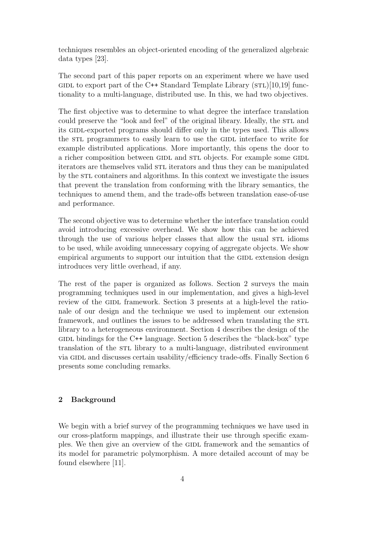techniques resembles an object-oriented encoding of the generalized algebraic data types [23].

The second part of this paper reports on an experiment where we have used GIDL to export part of the C++ Standard Template Library  $(STL)[10,19]$  functionality to a multi-language, distributed use. In this, we had two objectives.

The first objective was to determine to what degree the interface translation could preserve the "look and feel" of the original library. Ideally, the STL and its gidl-exported programs should differ only in the types used. This allows the strl programmers to easily learn to use the GIDL interface to write for example distributed applications. More importantly, this opens the door to a richer composition between GIDL and STL objects. For example some GIDL iterators are themselves valid STL iterators and thus they can be manipulated by the stl containers and algorithms. In this context we investigate the issues that prevent the translation from conforming with the library semantics, the techniques to amend them, and the trade-offs between translation ease-of-use and performance.

The second objective was to determine whether the interface translation could avoid introducing excessive overhead. We show how this can be achieved through the use of various helper classes that allow the usual STL idioms to be used, while avoiding unnecessary copying of aggregate objects. We show empirical arguments to support our intuition that the GIDL extension design introduces very little overhead, if any.

The rest of the paper is organized as follows. Section 2 surveys the main programming techniques used in our implementation, and gives a high-level review of the GIDL framework. Section 3 presents at a high-level the rationale of our design and the technique we used to implement our extension framework, and outlines the issues to be addressed when translating the STL library to a heterogeneous environment. Section 4 describes the design of the gidl bindings for the C++ language. Section 5 describes the "black-box" type translation of the stl library to a multi-language, distributed environment via GIDL and discusses certain usability/efficiency trade-offs. Finally Section 6 presents some concluding remarks.

## 2 Background

We begin with a brief survey of the programming techniques we have used in our cross-platform mappings, and illustrate their use through specific examples. We then give an overview of the GIDL framework and the semantics of its model for parametric polymorphism. A more detailed account of may be found elsewhere [11].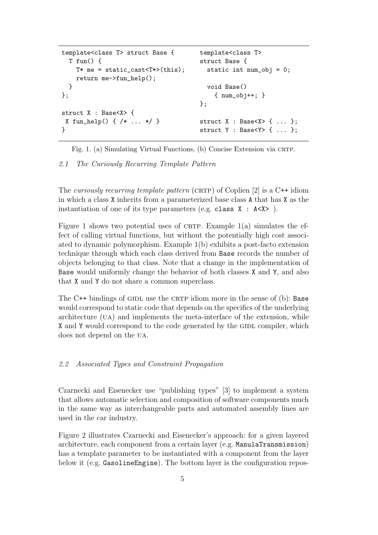```
template<class T> struct Base { template<class T>
 T fun() { struct Base {
  T* me = static_cast<T*>(this); static int num_obj = 0;
  return me->fun_help();
 } void Base()
}; { num_obj++; }
                           };
struct X : Base<X> {
X \text{ fun\_help() } \{ /* \dots * / } struct X : \text{Base} \leq X > \{ \dots \};} struct Y : Base<Y> { ... };
```
Fig. 1. (a) Simulating Virtual Functions, (b) Concise Extension via CRTP.

2.1 The Curiously Recurring Template Pattern

The *curiously recurring template pattern* (CRTP) of Coplien  $[2]$  is a C<sup>++</sup> idiom in which a class X inherits from a parameterized base class A that has X as the instantiation of one of its type parameters (e.g. class  $X : A < X >$ ).

Figure 1 shows two potential uses of CRTP. Example  $1(a)$  simulates the effect of calling virtual functions, but without the potentially high cost associated to dynamic polymorphism. Example 1(b) exhibits a post-facto extension technique through which each class derived from Base records the number of objects belonging to that class. Note that a change in the implementation of Base would uniformly change the behavior of both classes X and Y, and also that X and Y do not share a common superclass.

The C++ bindings of GIDL use the CRTP idiom more in the sense of  $(b)$ : Base would correspond to static code that depends on the specifics of the underlying architecture (ua) and implements the meta-interface of the extension, while X and Y would correspond to the code generated by the GIDL compiler, which does not depend on the ua.

## 2.2 Associated Types and Constraint Propagation

Czarnecki and Eisenecker use "publishing types" [3] to implement a system that allows automatic selection and composition of software components much in the same way as interchangeable parts and automated assembly lines are used in the car industry.

Figure 2 illustrates Czarnecki and Eisenecker's approach: for a given layered architecture, each component from a certain layer (e.g. ManulaTransmission) has a template parameter to be instantiated with a component from the layer below it (e.g. GasolineEngine). The bottom layer is the configuration repos-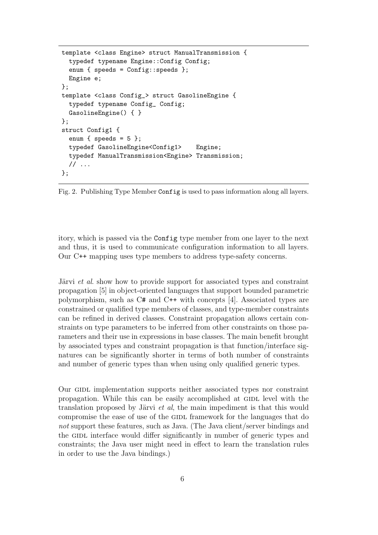```
template <class Engine> struct ManualTransmission {
  typedef typename Engine::Config Config;
  enum { speeds = Config::speeds };
  Engine e;
};
template <class Config_> struct GasolineEngine {
  typedef typename Config_ Config;
  GasolineEngine() { }
};
struct Config1 {
  enum { speeds = 5 };
  typedef GasolineEngine<Config1> Engine;
  typedef ManualTransmission<Engine> Transmission;
  // ...
};
```
Fig. 2. Publishing Type Member Config is used to pass information along all layers.

itory, which is passed via the Config type member from one layer to the next and thus, it is used to communicate configuration information to all layers. Our C++ mapping uses type members to address type-safety concerns.

Järvi et al. show how to provide support for associated types and constraint propagation [5] in object-oriented languages that support bounded parametric polymorphism, such as C# and C++ with concepts [4]. Associated types are constrained or qualified type members of classes, and type-member constraints can be refined in derived classes. Constraint propagation allows certain constraints on type parameters to be inferred from other constraints on those parameters and their use in expressions in base classes. The main benefit brought by associated types and constraint propagation is that function/interface signatures can be significantly shorter in terms of both number of constraints and number of generic types than when using only qualified generic types.

Our gidl implementation supports neither associated types nor constraint propagation. While this can be easily accomplished at GIDL level with the translation proposed by Järvi *et al*, the main impediment is that this would compromise the ease of use of the GIDL framework for the languages that do not support these features, such as Java. (The Java client/server bindings and the GIDL interface would differ significantly in number of generic types and constraints; the Java user might need in effect to learn the translation rules in order to use the Java bindings.)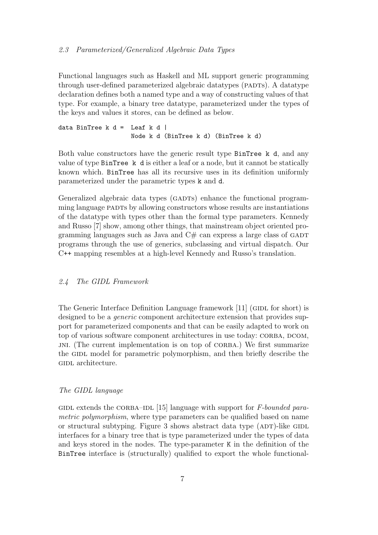Functional languages such as Haskell and ML support generic programming through user-defined parameterized algebraic datatypes (PADTs). A datatype declaration defines both a named type and a way of constructing values of that type. For example, a binary tree datatype, parameterized under the types of the keys and values it stores, can be defined as below.

data BinTree  $k$  d = Leaf  $k$  d | Node k d (BinTree k d) (BinTree k d)

Both value constructors have the generic result type BinTree k d, and any value of type BinTree k d is either a leaf or a node, but it cannot be statically known which. BinTree has all its recursive uses in its definition uniformly parameterized under the parametric types k and d.

Generalized algebraic data types (GADTs) enhance the functional programming language PADTs by allowing constructors whose results are instantiations of the datatype with types other than the formal type parameters. Kennedy and Russo [7] show, among other things, that mainstream object oriented programming languages such as Java and  $C#$  can express a large class of GADT programs through the use of generics, subclassing and virtual dispatch. Our C++ mapping resembles at a high-level Kennedy and Russo's translation.

## 2.4 The GIDL Framework

The Generic Interface Definition Language framework [11] (GIDL for short) is designed to be a generic component architecture extension that provides support for parameterized components and that can be easily adapted to work on top of various software component architectures in use today: CORBA, DCOM, jni. (The current implementation is on top of corba.) We first summarize the GIDL model for parametric polymorphism, and then briefly describe the GIDL architecture.

#### The GIDL language

GIDL extends the CORBA–IDL [15] language with support for  $F$ -bounded parametric polymorphism, where type parameters can be qualified based on name or structural subtyping. Figure 3 shows abstract data type  $(ADT)$ -like GIDL interfaces for a binary tree that is type parameterized under the types of data and keys stored in the nodes. The type-parameter K in the definition of the BinTree interface is (structurally) qualified to export the whole functional-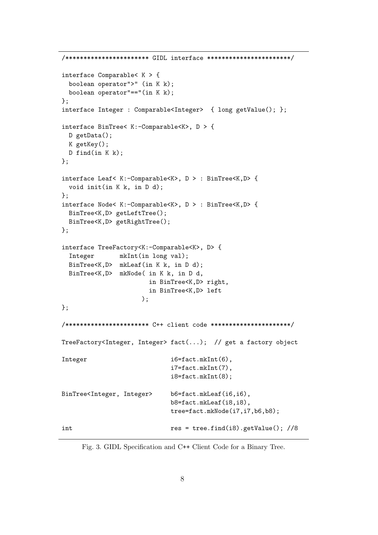```
/*********************** GIDL interface ***********************/
interface Comparable< K > {
  boolean operator">" (in K k);
  boolean operator"=="(in K k);
};
interface Integer : Comparable<Integer> { long getValue(); };
interface BinTree< K:-Comparable<K>, D > {
  D getData();
  K getKey();
  D find(in K k);
};
interface Leaf< K:-Comparable<K>, D > : BinTree<K,D> {
  void init(in K k, in D d);
};
interface Node< K:-Comparable<K>, D > : BinTree<K,D> {
  BinTree<K,D> getLeftTree();
  BinTree<K,D> getRightTree();
};
interface TreeFactory<K:-Comparable<K>, D> {
  Integer mkInt(in long val);
  BinTree<K,D> mkLeaf(in K k, in D d);
  BinTree<K,D> mkNode( in K k, in D d,
                       in BinTree<K,D> right,
                       in BinTree<K,D> left
                     );
};
/*********************** C++ client code **********************/
TreeFactory<Integer, Integer> fact(...); // get a factory object
Integer i6=fact.mkInt(6),
                             i7=fact.mkInt(7),
                             i8=fact.mkInt(8);
BinTree<Integer, Integer>
b6=fact.mkLeaf(i6,i6),
                             b8=fact.mkLeaf(i8,i8),
                             tree=fact.mkNode(i7,i7,b6,b8);
int res = tree.find(i8).getValue(); //8
```
Fig. 3. GIDL Specification and C++ Client Code for a Binary Tree.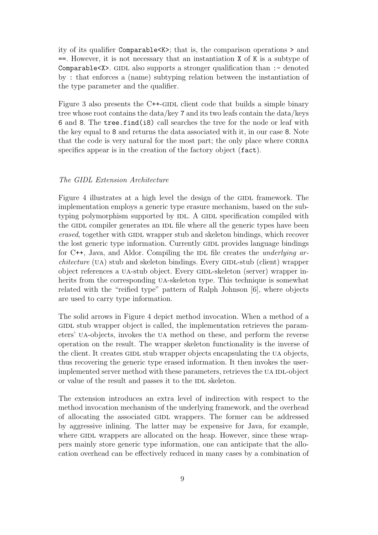ity of its qualifier Comparable<K>; that is, the comparison operations > and ==. However, it is not necessary that an instantiation X of K is a subtype of Comparable $\langle X \rangle$ . GIDL also supports a stronger qualification than :- denoted by : that enforces a (name) subtyping relation between the instantiation of the type parameter and the qualifier.

Figure 3 also presents the C++-GIDL client code that builds a simple binary tree whose root contains the data/key 7 and its two leafs contain the data/keys 6 and 8. The tree.find(i8) call searches the tree for the node or leaf with the key equal to 8 and returns the data associated with it, in our case 8. Note that the code is very natural for the most part; the only place where CORBA specifics appear is in the creation of the factory object (fact).

#### The GIDL Extension Architecture

Figure 4 illustrates at a high level the design of the GIDL framework. The implementation employs a generic type erasure mechanism, based on the subtyping polymorphism supported by IDL. A GIDL specification compiled with the GIDL compiler generates an IDL file where all the generic types have been erased, together with GIDL wrapper stub and skeleton bindings, which recover the lost generic type information. Currently GIDL provides language bindings for  $C_{++}$ , Java, and Aldor. Compiling the IDL file creates the *underlying ar*chitecture (UA) stub and skeleton bindings. Every GIDL-stub (client) wrapper object references a UA-stub object. Every GIDL-skeleton (server) wrapper inherits from the corresponding UA-skeleton type. This technique is somewhat related with the "reified type" pattern of Ralph Johnson [6], where objects are used to carry type information.

The solid arrows in Figure 4 depict method invocation. When a method of a gidl stub wrapper object is called, the implementation retrieves the parameters' ua-objects, invokes the ua method on these, and perform the reverse operation on the result. The wrapper skeleton functionality is the inverse of the client. It creates GIDL stub wrapper objects encapsulating the UA objects, thus recovering the generic type erased information. It then invokes the userimplemented server method with these parameters, retrieves the UA IDL-object or value of the result and passes it to the IDL skeleton.

The extension introduces an extra level of indirection with respect to the method invocation mechanism of the underlying framework, and the overhead of allocating the associated GIDL wrappers. The former can be addressed by aggressive inlining. The latter may be expensive for Java, for example, where GIDL wrappers are allocated on the heap. However, since these wrappers mainly store generic type information, one can anticipate that the allocation overhead can be effectively reduced in many cases by a combination of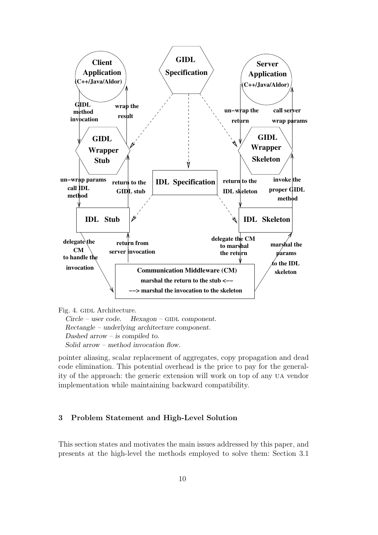

```
Fig. 4. GIDL Architecture.
```
 $Circle - user code.$  Hexagon – GIDL component. Rectangle – underlying architecture component. Dashed arrow – is compiled to. Solid arrow – method invocation flow.

pointer aliasing, scalar replacement of aggregates, copy propagation and dead code elimination. This potential overhead is the price to pay for the generality of the approach: the generic extension will work on top of any ua vendor implementation while maintaining backward compatibility.

## 3 Problem Statement and High-Level Solution

This section states and motivates the main issues addressed by this paper, and presents at the high-level the methods employed to solve them: Section 3.1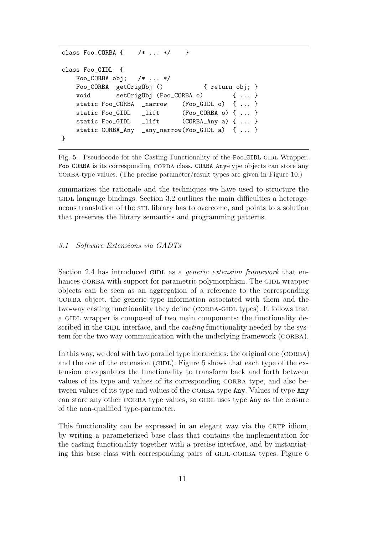```
class Foo_CORBA { /* ... */ }
class Foo_GIDL {
   Foo_CORBA obj; /* ... */
   Foo_CORBA getOrigObj () { return obj; }
   void setOrigObj (Foo_CORBA o) { ... }
   static Foo_CORBA _narrow (Foo_GIDL o) { ... }
   static Foo_GIDL _lift (Foo_CORBA o) { ... }
   static Foo_GIDL _lift (CORBA_Any a) { ... }
   static CORBA_Any _any_narrow(Foo_GIDL a) { ... }
}
```
Fig. 5. Pseudocode for the Casting Functionality of the Foo\_GIDL GIDL Wrapper. Foo CORBA is its corresponding CORBA class. CORBA Any-type objects can store any corba-type values. (The precise parameter/result types are given in Figure 10.)

summarizes the rationale and the techniques we have used to structure the gidl language bindings. Section 3.2 outlines the main difficulties a heterogeneous translation of the STL library has to overcome, and points to a solution that preserves the library semantics and programming patterns.

## 3.1 Software Extensions via GADTs

Section 2.4 has introduced GIDL as a *generic extension framework* that enhances CORBA with support for parametric polymorphism. The GIDL wrapper objects can be seen as an aggregation of a reference to the corresponding coraba object, the generic type information associated with them and the two-way casting functionality they define (CORBA-GIDL types). It follows that a GIDL wrapper is composed of two main components: the functionality described in the GIDL interface, and the *casting* functionality needed by the system for the two way communication with the underlying framework (CORBA).

In this way, we deal with two parallel type hierarchies: the original one (CORBA) and the one of the extension (GIDL). Figure 5 shows that each type of the extension encapsulates the functionality to transform back and forth between values of its type and values of its corresponding CORBA type, and also between values of its type and values of the CORBA type Any. Values of type Any can store any other CORBA type values, so GIDL uses type Any as the erasure of the non-qualified type-parameter.

This functionality can be expressed in an elegant way via the CRTP idiom, by writing a parameterized base class that contains the implementation for the casting functionality together with a precise interface, and by instantiating this base class with corresponding pairs of GIDL-CORBA types. Figure  $6$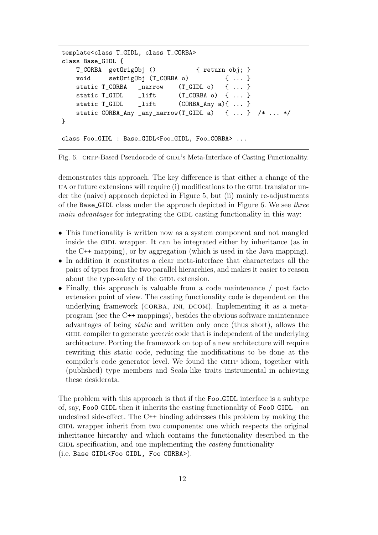```
template<class T_GIDL, class T_CORBA>
class Base_GIDL {
   T_CORBA getOrigObj () { return obj; }
   void setOrigObj (T_CORBA o) { ... }
   static T_CORBA _narrow (T_GIDL o) { ... }
   static T_GIDL lift (T_GORBA o) \{ \dots \}static T_GIDL _{{\text{lift}}} (CORBA_Any a){ ... }
   static CORBA_Any _any_narrow(T_GIDL a) { ... } /* ... */
}
class Foo_GIDL : Base_GIDL<Foo_GIDL, Foo_CORBA> ...
```
Fig. 6. CRTP-Based Pseudocode of GIDL's Meta-Interface of Casting Functionality.

demonstrates this approach. The key difference is that either a change of the u. The original or future extensions will require  $(i)$  modifications to the GIDL translator under the (naive) approach depicted in Figure 5, but (ii) mainly re-adjustments of the Base GIDL class under the approach depicted in Figure 6. We see three main advantages for integrating the GIDL casting functionality in this way:

- This functionality is written now as a system component and not mangled inside the GIDL wrapper. It can be integrated either by inheritance (as in the C++ mapping), or by aggregation (which is used in the Java mapping).
- In addition it constitutes a clear meta-interface that characterizes all the pairs of types from the two parallel hierarchies, and makes it easier to reason about the type-safety of the GIDL extension.
- Finally, this approach is valuable from a code maintenance / post facto extension point of view. The casting functionality code is dependent on the underlying framework (CORBA, JNI, DCOM). Implementing it as a metaprogram (see the C++ mappings), besides the obvious software maintenance advantages of being static and written only once (thus short), allows the GIDL compiler to generate *generic* code that is independent of the underlying architecture. Porting the framework on top of a new architecture will require rewriting this static code, reducing the modifications to be done at the compiler's code generator level. We found the CRTP idiom, together with (published) type members and Scala-like traits instrumental in achieving these desiderata.

The problem with this approach is that if the Foo GIDL interface is a subtype of, say, Foo0\_GIDL then it inherits the casting functionality of Foo0\_GIDL – an undesired side-effect. The C++ binding addresses this problem by making the gidl wrapper inherit from two components: one which respects the original inheritance hierarchy and which contains the functionality described in the GIDL specification, and one implementing the *casting* functionality (i.e. Base GIDL<Foo GIDL, Foo CORBA>).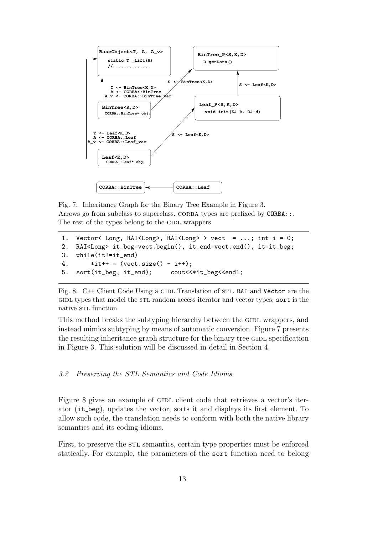

Fig. 7. Inheritance Graph for the Binary Tree Example in Figure 3. Arrows go from subclass to superclass. CORBA types are prefixed by CORBA::. The rest of the types belong to the GIDL wrappers.

```
1. Vector< Long, RAI<Long>, RAI<Long> > vect = ...; int i = 0;
2. RAI<Long> it_beg=vect.begin(), it_end=vect.end(), it=it_beg;
3. while(it!=it_end)
4. *it++ = (vect.size() - i++);
5. sort(it_beg, it_end); cout<<*it_beg<<endl;
```
Fig. 8. C++ Client Code Using a GIDL Translation of STL. RAI and Vector are the GIDL types that model the STL random access iterator and vector types; sort is the native STL function.

This method breaks the subtyping hierarchy between the GIDL wrappers, and instead mimics subtyping by means of automatic conversion. Figure 7 presents the resulting inheritance graph structure for the binary tree GIDL specification in Figure 3. This solution will be discussed in detail in Section 4.

## 3.2 Preserving the STL Semantics and Code Idioms

Figure 8 gives an example of GIDL client code that retrieves a vector's iterator (it beg), updates the vector, sorts it and displays its first element. To allow such code, the translation needs to conform with both the native library semantics and its coding idioms.

First, to preserve the STL semantics, certain type properties must be enforced statically. For example, the parameters of the sort function need to belong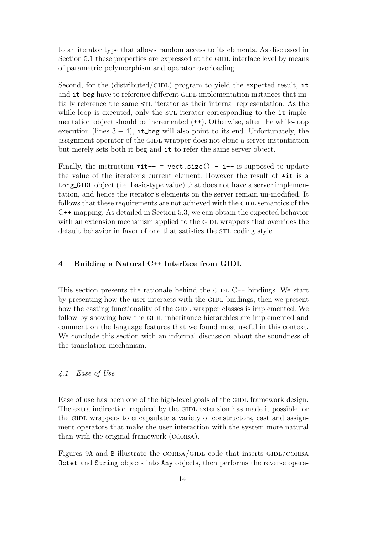to an iterator type that allows random access to its elements. As discussed in Section 5.1 these properties are expressed at the GIDL interface level by means of parametric polymorphism and operator overloading.

Second, for the (distributed/GIDL) program to yield the expected result, it and  $it_{\text{e}}$  have to reference different GIDL implementation instances that intially reference the same STL iterator as their internal representation. As the while-loop is executed, only the STL iterator corresponding to the it implementation object should be incremented (++). Otherwise, after the while-loop execution (lines  $3 - 4$ ), it beg will also point to its end. Unfortunately, the assignment operator of the GIDL wrapper does not clone a server instantiation but merely sets both it beg and it to refer the same server object.

Finally, the instruction  $*it++ = vect.size() - i++$  is supposed to update the value of the iterator's current element. However the result of  $*it$  is a Long GIDL object (i.e. basic-type value) that does not have a server implementation, and hence the iterator's elements on the server remain un-modified. It follows that these requirements are not achieved with the GIDL semantics of the C++ mapping. As detailed in Section 5.3, we can obtain the expected behavior with an extension mechanism applied to the GIDL wrappers that overrides the default behavior in favor of one that satisfies the  $STL$  coding style.

## 4 Building a Natural C++ Interface from GIDL

This section presents the rationale behind the GIDL  $C++$  bindings. We start by presenting how the user interacts with the GIDL bindings, then we present how the casting functionality of the GIDL wrapper classes is implemented. We follow by showing how the GIDL inheritance hierarchies are implemented and comment on the language features that we found most useful in this context. We conclude this section with an informal discussion about the soundness of the translation mechanism.

## 4.1 Ease of Use

Ease of use has been one of the high-level goals of the GIDL framework design. The extra indirection required by the GIDL extension has made it possible for the GIDL wrappers to encapsulate a variety of constructors, cast and assignment operators that make the user interaction with the system more natural than with the original framework (CORBA).

Figures 9A and B illustrate the  $CORBA/GIDL$  code that inserts  $GIDL/CORBA$ Octet and String objects into Any objects, then performs the reverse opera-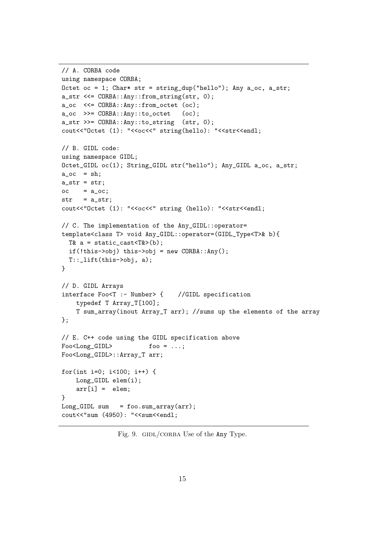```
// A. CORBA code
using namespace CORBA;
Octet oc = 1; Char* str = string_dup("hello"); Any a_oc, a_str;
a_str <<= CORBA::Any::from_string(str, 0);
a_oc <<= CORBA::Any::from_octet (oc);
a_oc >>= CORBA::Any::to_octet (oc);
a_str >>= CORBA::Any::to_string (str, 0);
cout<<"Octet (1): "<<oc<<" string(hello): "<<str<<endl;
// B. GIDL code:
using namespace GIDL;
Octet_GIDL oc(1); String_GIDL str("hello"); Any_GIDL a_oc, a_str;
a\_oc = sh;a_str = str;
oc = a_0c;str = a_str;
cout<<"Octet (1): "<<oc<<" string (hello): "<<str<<endl;
// C. The implementation of the Any_GIDL::operator=
template<class T> void Any_GIDL::operator=(GIDL_Type<T>& b){
 T& a = static\_cast < T&gt; (b);
 if(!this->obj) this->obj = new CORBA::Any();
 T::_lift(this->obj, a);
}
// D. GIDL Arrays
interface Foo<T :- Number> { //GIDL specification
    typedef T Array_T[100];
    T sum_array(inout Array_T arr); //sums up the elements of the array
};
// E. C++ code using the GIDL specification above
Foo<Long_GIDL> foo = ...;
Foo<Long_GIDL>::Array_T arr;
for(int i=0; i<100; i++) {
   Long_GIDL elem(i);
    arr[i] = elem;}
Long_GIDL sum = foo.sum_arrayk);
cout<<"sum (4950): "<<sum<<endl;
```
Fig. 9. GIDL/CORBA Use of the Any Type.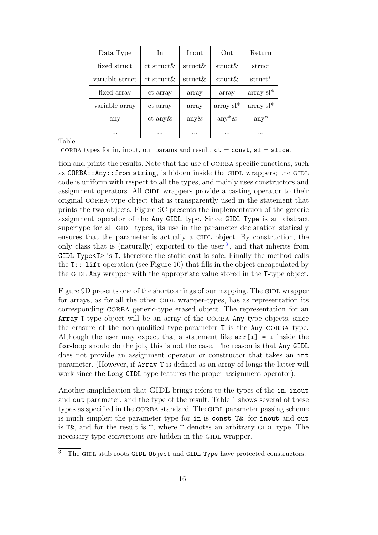| Data Type       | In               | Inout<br>Out   |                          | Return              |  |
|-----------------|------------------|----------------|--------------------------|---------------------|--|
| fixed struct    | ct struct&       | struct&        | struct&                  | struct              |  |
| variable struct | $ct$ struct $\&$ | struct&        | struct&                  | struct <sup>*</sup> |  |
| fixed array     | ct array         | array          | array                    | $\arctan s$         |  |
| variable array  | ct array         | array          | $\arctan s$ <sup>*</sup> | $\arctan s$         |  |
| any             | $ct$ any $\&$    | $\text{any}\&$ | $\text{any}^*\&$         | $any^*$             |  |
| .               |                  |                | .                        |                     |  |

Table 1

CORBA types for in, inout, out params and result.  $ct = const$ ,  $sl = slice$ .

tion and prints the results. Note that the use of CORBA specific functions, such as  $CORBA::Any::from\_string$ , is hidden inside the GIDL wrappers; the GIDL code is uniform with respect to all the types, and mainly uses constructors and assignment operators. All GIDL wrappers provide a casting operator to their original corba-type object that is transparently used in the statement that prints the two objects. Figure 9C presents the implementation of the generic assignment operator of the Any GIDL type. Since GIDL Type is an abstract supertype for all GIDL types, its use in the parameter declaration statically ensures that the parameter is actually a GIDL object. By construction, the only class that is (naturally) exported to the user<sup>[3](#page-15-0)</sup>, and that inherits from GIDL Type<T> is T, therefore the static cast is safe. Finally the method calls the T:: lift operation (see Figure 10) that fills in the object encapsulated by the GIDL Any wrapper with the appropriate value stored in the T-type object.

Figure 9D presents one of the shortcomings of our mapping. The GIDL wrapper for arrays, as for all the other GIDL wrapper-types, has as representation its corresponding CORBA generic-type erased object. The representation for an Array T-type object will be an array of the CORBA Any type objects, since the erasure of the non-qualified type-parameter  $T$  is the Any CORBA type. Although the user may expect that a statement like  $arr[i] = i$  inside the for-loop should do the job, this is not the case. The reason is that Any GIDL does not provide an assignment operator or constructor that takes an int parameter. (However, if Array T is defined as an array of longs the latter will work since the Long<sub>-GIDL</sub> type features the proper assignment operator).

Another simplification that GIDL brings refers to the types of the in, inout and out parameter, and the type of the result. Table 1 shows several of these types as specified in the CORBA standard. The GIDL parameter passing scheme is much simpler: the parameter type for in is const T&, for inout and out is  $T\&$ , and for the result is  $T$ , where  $T$  denotes an arbitrary GIDL type. The necessary type conversions are hidden in the GIDL wrapper.

<span id="page-15-0"></span><sup>&</sup>lt;sup>3</sup> The GIDL stub roots GIDL Object and GIDL Type have protected constructors.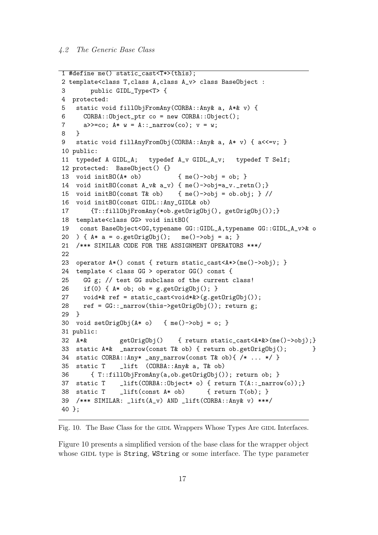```
1 #define me() static_cast<T*>(this);
2 template<class T,class A,class A_v> class BaseObject :
3 public GIDL_Type<T> {
4 protected:
5 static void fillObjFromAny(CORBA::Any& a, A*& v) {
6 CORBA::Object_ptr co = new CORBA::Object();
7 a>>=co; A* w = A::_{narrow}(co); v = w;8 }
9 static void fillAnyFromObj(CORBA::Any& a, A* v) { a<<=v; }
10 public:
11 typedef A GIDL_A; typedef A_v GIDL_A_v; typedef T Self;
12 protected: BaseObject() {}
13 void initBO(A * ob) { me()->obj = ob; }
14 void initBO(const A_v& a_v) { me()->obj=a_v._retn();}
15 void initBO(const T& ob) { me()->obj = ob.obj; } //
16 void initBO(const GIDL::Any_GIDL& ob)
17 {T::fillObjFromAny(*ob.getOrigObj(), getOrigObj());}
18 template<class GG> void initBO(
19 const BaseObject<GG,typename GG::GIDL_A,typename GG::GIDL_A_v>& o
20 ) { A* a = o.getOrigObj(); me()->obj = a; }21 /*** SIMILAR CODE FOR THE ASSIGNMENT OPERATORS ***/
22
23 operator A*() const { return static_cast<A*>(me()->obj); }
24 template < class GG > operator GG() const {
25 GG g; // test GG subclass of the current class!
26 if(0) { A* ob; ob = g.getOrigObj(); }
27 void*& ref = static_cast<void*&>(g.getOrigObj());
28 ref = GG::_narrow(this->getOrigObj()); return g;
29 }
30 void setOrigObj(A * o) { me()->obj = o; }
31 public:
32 A*& getOrigObj() { return static_cast<A*&>(me()->obj);}
33 static A*& _narrow(const T& ob) { return ob.getOrigObj(); }
34 static CORBA::Any* _any_narrow(const T& ob){ /* ... */ }
35 static T _lift (CORBA::Any& a, T& ob)
36 { T::fillObjFromAny(a,ob.getOrigObj()); return ob; }
37 static T _lift(CORBA::Object* o) { return T(A::_narrow(o));}
38 static T _lift(const A* ob) { return T(ob); }
39 /*** SIMILAR: _lift(A_v) AND _lift(CORBA::Any& v) ***/
40 };
```
Fig. 10. The Base Class for the GIDL Wrappers Whose Types Are GIDL Interfaces.

Figure 10 presents a simplified version of the base class for the wrapper object whose GIDL type is String, WString or some interface. The type parameter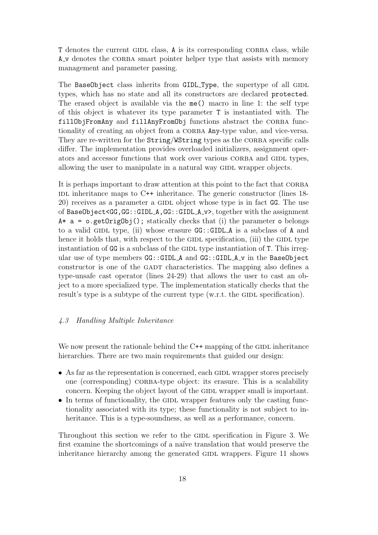T denotes the current GIDL class, A is its corresponding CORBA class, while  $A_v$  denotes the CORBA smart pointer helper type that assists with memory management and parameter passing.

The BaseObject class inherits from GIDL Type, the supertype of all GIDL types, which has no state and all its constructors are declared protected. The erased object is available via the me() macro in line 1: the self type of this object is whatever its type parameter T is instantiated with. The fillObjFromAny and fillAnyFromObj functions abstract the CORBA functionality of creating an object from a CORBA Any-type value, and vice-versa. They are re-written for the String/WString types as the CORBA specific calls differ. The implementation provides overloaded initializers, assignment operators and accessor functions that work over various CORBA and GIDL types, allowing the user to manipulate in a natural way GIDL wrapper objects.

It is perhaps important to draw attention at this point to the fact that CORBA IDL inheritance maps to  $C^{++}$  inheritance. The generic constructor (lines 18-20) receives as a parameter a GIDL object whose type is in fact GG. The use of BaseObject<GG,GG::GIDL A,GG::GIDL A v>, together with the assignment  $A* a = o.getOrigObj()$ ; statically checks that (i) the parameter o belongs to a valid GIDL type, (ii) whose erasure  $GG::GIDLA$  is a subclass of A and hence it holds that, with respect to the GIDL specification, (iii) the GIDL type instantiation of GG is a subclass of the GIDL type instantiation of T. This irregular use of type members  $GG$ ::GIDL A and  $GG$ ::GIDL A v in the BaseObject constructor is one of the GADT characteristics. The mapping also defines a type-unsafe cast operator (lines 24-29) that allows the user to cast an object to a more specialized type. The implementation statically checks that the result's type is a subtype of the current type (w.r.t. the GIDL specification).

## 4.3 Handling Multiple Inheritance

We now present the rationale behind the  $C^{++}$  mapping of the GIDL inheritance hierarchies. There are two main requirements that guided our design:

- As far as the representation is concerned, each GIDL wrapper stores precisely one (corresponding) CORBA-type object: its erasure. This is a scalability concern. Keeping the object layout of the GIDL wrapper small is important.
- In terms of functionality, the GIDL wrapper features only the casting functionality associated with its type; these functionality is not subject to inheritance. This is a type-soundness, as well as a performance, concern.

Throughout this section we refer to the GIDL specification in Figure 3. We first examine the shortcomings of a naïve translation that would preserve the inheritance hierarchy among the generated GIDL wrappers. Figure 11 shows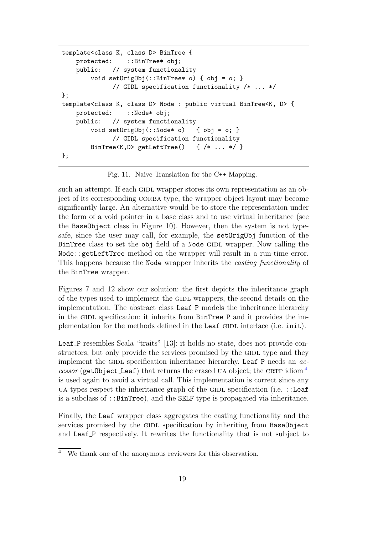```
template<class K, class D> BinTree {
   protected: ::BinTree* obj;
   public: // system functionality
       void setOrigObj(::BinTree* o) { obj = o; }// GIDL specification functionality /* ... */
};
template<class K, class D> Node : public virtual BinTree<K, D> {
   protected: ::Node* obj;
   public: // system functionality
       void setOrigObj(::Node* o) { obj = o; }
             // GIDL specification functionality
       BinTree<K,D> getLeftTree() { /* ... */ }
};
```
Fig. 11. Naive Translation for the C++ Mapping.

such an attempt. If each GIDL wrapper stores its own representation as an object of its corresponding CORBA type, the wrapper object layout may become significantly large. An alternative would be to store the representation under the form of a void pointer in a base class and to use virtual inheritance (see the BaseObject class in Figure 10). However, then the system is not typesafe, since the user may call, for example, the setOrigObj function of the BinTree class to set the obj field of a Node GIDL wrapper. Now calling the Node::getLeftTree method on the wrapper will result in a run-time error. This happens because the Node wrapper inherits the casting functionality of the BinTree wrapper.

Figures 7 and 12 show our solution: the first depicts the inheritance graph of the types used to implement the gidl wrappers, the second details on the implementation. The abstract class Leaf P models the inheritance hierarchy in the GIDL specification: it inherits from BinTree P and it provides the implementation for the methods defined in the Leaf GIDL interface (i.e. init).

Leaf P resembles Scala "traits" [13]: it holds no state, does not provide constructors, but only provide the services promised by the GIDL type and they implement the GIDL specification inheritance hierarchy. Leaf P needs an accessor (getObject Leaf) that returns the erased UA object; the CRTP idiom  $4$ is used again to avoid a virtual call. This implementation is correct since any ua types respect the inheritance graph of the GIDL specification (i.e.  $\therefore$  Leaf is a subclass of ::BinTree), and the SELF type is propagated via inheritance.

Finally, the Leaf wrapper class aggregates the casting functionality and the services promised by the GIDL specification by inheriting from BaseObject and Leaf P respectively. It rewrites the functionality that is not subject to

<span id="page-18-0"></span><sup>4</sup> We thank one of the anonymous reviewers for this observation.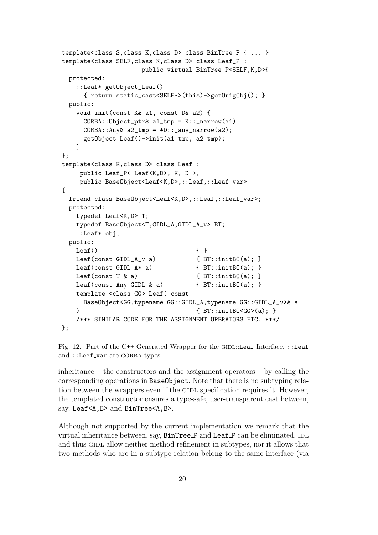```
template<class S,class K,class D> class BinTree_P { ... }
template<class SELF,class K,class D> class Leaf_P :
                     public virtual BinTree_P<SELF,K,D>{
 protected:
    ::Leaf* getObject_Leaf()
     { return static_cast<SELF*>(this)->getOrigObj(); }
 public:
   void init(const K& a1, const D& a2) {
     CORBA::Object_ptr& a1_tmp = K::_narrow(a1);
     CORBA::Any\& a2 tmp = *D:: any narrow(a2);
     getObject_Leaf()->init(a1_tmp, a2_tmp);
   }
};
template<class K,class D> class Leaf :
    public Leaf_P< Leaf<K,D>, K, D >,
    public BaseObject<Leaf<K,D>,::Leaf,::Leaf_var>
{
 friend class BaseObject<Leaf<K,D>,::Leaf,::Leaf_var>;
 protected:
   typedef Leaf<K,D> T;
   typedef BaseObject<T,GIDL_A,GIDL_A_v> BT;
    ::Leaf* obj;
 public:
   Leaf() \{ \}Leaf(const GIDL_A_v a) \{ BT::initBO(a); \}Leaf(const GIDL_A* a) \{ BT::initBO(a); \}Leaf(const T & a) \{ BT::initBO(a); \}Leaf(const Any_GIDL & a) { BT::initBO(a); }
   template <class GG> Leaf( const
     BaseObject<GG,typename GG::GIDL_A,typename GG::GIDL_A_v>& a
                                   \{BT::initBO\leq GG>(a): \}/*** SIMILAR CODE FOR THE ASSIGNMENT OPERATORS ETC. ***/
};
```
Fig. 12. Part of the C++ Generated Wrapper for the GIDL::Leaf Interface. ::Leaf and ::Leaf\_var are CORBA types.

inheritance – the constructors and the assignment operators – by calling the corresponding operations in BaseObject. Note that there is no subtyping relation between the wrappers even if the GIDL specification requires it. However, the templated constructor ensures a type-safe, user-transparent cast between, say, Leaf<A, B> and BinTree<A, B>.

Although not supported by the current implementation we remark that the virtual inheritance between, say, BinTree P and Leaf P can be eliminated. IDL and thus GIDL allow neither method refinement in subtypes, nor it allows that two methods who are in a subtype relation belong to the same interface (via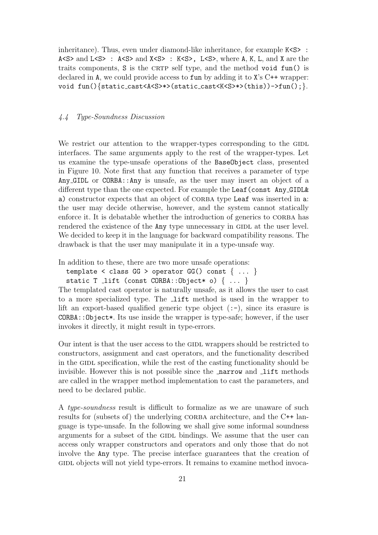inheritance). Thus, even under diamond-like inheritance, for example K<S> : A<S> and L<S>: A<S> and X<S>: K<S>, L<S>, Where A, K, L, and X are the traits components,  $S$  is the CRTP self type, and the method void fun() is declared in A, we could provide access to fun by adding it to X's C++ wrapper: void fun(){static\_cast<A<S>\*>(static\_cast<K<S>\*>(this))->fun();}.

#### 4.4 Type-Soundness Discussion

We restrict our attention to the wrapper-types corresponding to the GIDL interfaces. The same arguments apply to the rest of the wrapper-types. Let us examine the type-unsafe operations of the BaseObject class, presented in Figure 10. Note first that any function that receives a parameter of type Any GIDL or CORBA::Any is unsafe, as the user may insert an object of a different type than the one expected. For example the Leaf (const Any GIDL& a) constructor expects that an object of CORBA type Leaf was inserted in a: the user may decide otherwise, however, and the system cannot statically enforce it. It is debatable whether the introduction of generics to CORBA has rendered the existence of the Any type unnecessary in GIDL at the user level. We decided to keep it in the language for backward compatibility reasons. The drawback is that the user may manipulate it in a type-unsafe way.

In addition to these, there are two more unsafe operations:

template  $\langle$  class  $GG \rangle$  operator  $GG()$  const  $\{ \ldots \}$ 

```
static T lift (const CORBA:: Object* o) \{ \ldots \}
```
The templated cast operator is naturally unsafe, as it allows the user to cast to a more specialized type. The lift method is used in the wrapper to lift an export-based qualified generic type object  $(:-)$ , since its erasure is CORBA::Object\*. Its use inside the wrapper is type-safe; however, if the user invokes it directly, it might result in type-errors.

Our intent is that the user access to the GIDL wrappers should be restricted to constructors, assignment and cast operators, and the functionality described in the GIDL specification, while the rest of the casting functionality should be invisible. However this is not possible since the **narrow** and **lift** methods are called in the wrapper method implementation to cast the parameters, and need to be declared public.

A type-soundness result is difficult to formalize as we are unaware of such results for (subsets of) the underlying CORBA architecture, and the  $C^{++}$  language is type-unsafe. In the following we shall give some informal soundness arguments for a subset of the GIDL bindings. We assume that the user can access only wrapper constructors and operators and only those that do not involve the Any type. The precise interface guarantees that the creation of gidl objects will not yield type-errors. It remains to examine method invoca-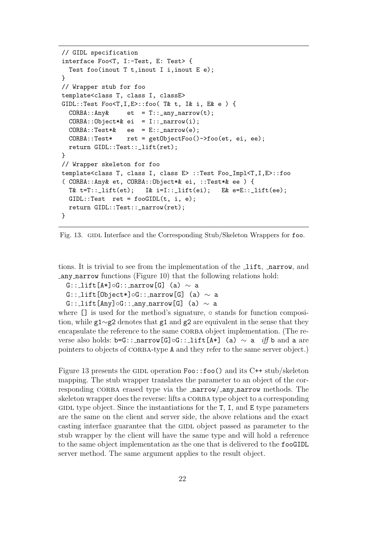```
// GIDL specification
interface Foo<T, I:-Test, E: Test> {
  Test foo(inout T t,inout I i,inout E e);
}
// Wrapper stub for foo
template<class T, class I, classE>
GIDL::Test Foo<T,I,E>::foo( T& t, I& i, E& e ) {
  CORBA::Any\& et = T::_any_narrow(t);
 CORBA::Object*& ei = I::_narrow(i);
 CORBA::Test*& ee = E:: narrow(e);
 CORBA::Test* ret = getObjectFoo()->foo(et, ei, ee);
 return GIDL::Test::_lift(ret);
}
// Wrapper skeleton for foo
template<class T, class I, class E> ::Test Foo_Impl<T,I,E>::foo
( CORBA::Any& et, CORBA::Object*& ei, ::Test*& ee ) {
 T& t=T::_lift(et); I& i=I::_lift(ei); E& e=E::_lift(ee);GIDL::Test ret = fooGIDL(t, i, e);return GIDL::Test::_narrow(ret);
}
```


tions. It is trivial to see from the implementation of the lift, narrow, and any narrow functions (Figure 10) that the following relations hold:

G:: lift[A\*]◦G:: narrow[G] (a)  $\sim$  a

G:: lift[Object\*]◦G:: narrow[G] (a)  $\sim$  a

G:: lift[Any]∘G:: any narrow[G] (a)  $\sim$  a

where [] is used for the method's signature,  $\circ$  stands for function composition, while g1∼g2 denotes that g1 and g2 are equivalent in the sense that they encapsulate the reference to the same CORBA object implementation. (The reverse also holds: b=G:: narrow[G]∘G:: lift[A\*] (a)  $\sim$  a *iff* b and a are pointers to objects of CORBA-type A and they refer to the same server object.)

Figure 13 presents the GIDL operation  $\text{Foo}:\text{foo}()$  and its C++ stub/skeleton mapping. The stub wrapper translates the parameter to an object of the corresponding CORBA erased type via the **narrow**/ any narrow methods. The skeleton wrapper does the reverse: lifts a CORBA type object to a corresponding GIDL type object. Since the instantiations for the  $T$ , I, and  $E$  type parameters are the same on the client and server side, the above relations and the exact casting interface guarantee that the GIDL object passed as parameter to the stub wrapper by the client will have the same type and will hold a reference to the same object implementation as the one that is delivered to the fooGIDL server method. The same argument applies to the result object.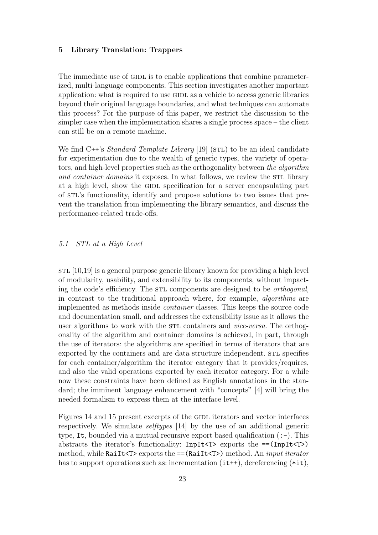## 5 Library Translation: Trappers

The immediate use of GIDL is to enable applications that combine parameterized, multi-language components. This section investigates another important application: what is required to use GIDL as a vehicle to access generic libraries beyond their original language boundaries, and what techniques can automate this process? For the purpose of this paper, we restrict the discussion to the simpler case when the implementation shares a single process space – the client can still be on a remote machine.

We find C++'s *Standard Template Library* [19] (STL) to be an ideal candidate for experimentation due to the wealth of generic types, the variety of operators, and high-level properties such as the orthogonality between the algorithm and container domains it exposes. In what follows, we review the STL library at a high level, show the GIDL specification for a server encapsulating part of stl's functionality, identify and propose solutions to two issues that prevent the translation from implementing the library semantics, and discuss the performance-related trade-offs.

## 5.1 STL at a High Level

 $STL [10,19]$  is a general purpose generic library known for providing a high level of modularity, usability, and extensibility to its components, without impacting the code's efficiency. The STL components are designed to be *orthogonal*, in contrast to the traditional approach where, for example, algorithms are implemented as methods inside container classes. This keeps the source code and documentation small, and addresses the extensibility issue as it allows the user algorithms to work with the STL containers and *vice-versa*. The orthogonality of the algorithm and container domains is achieved, in part, through the use of iterators: the algorithms are specified in terms of iterators that are exported by the containers and are data structure independent. STL specifies for each container/algorithm the iterator category that it provides/requires, and also the valid operations exported by each iterator category. For a while now these constraints have been defined as English annotations in the standard; the imminent language enhancement with "concepts" [4] will bring the needed formalism to express them at the interface level.

Figures 14 and 15 present excerpts of the GIDL iterators and vector interfaces respectively. We simulate selftypes [14] by the use of an additional generic type, It, bounded via a mutual recursive export based qualification  $(:-)$ . This abstracts the iterator's functionality:  $\text{Inplt}$  exports the  $=$  (InpIt  $\text{TP}$ ) method, while RaiIt $\langle T \rangle$  exports the ==(RaiIt $\langle T \rangle$ ) method. An *input iterator* has to support operations such as: incrementation  $(i + +)$ , dereferencing  $(*i +)$ ,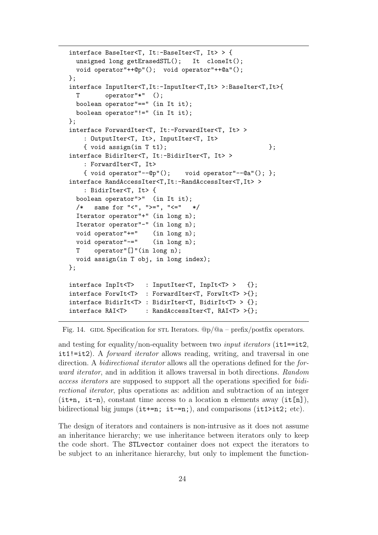```
interface BaseIter<T, It:-BaseIter<T, It> > {
  unsigned long getErasedSTL(); It cloneIt();
  void operator"++@p"(); void operator"++@a"();
};
interface InputIter<T,It:-InputIter<T,It> >:BaseIter<T,It>{
  T operator"*" ();
  boolean operator"==" (in It it);
  boolean operator"!=" (in It it);
};
interface ForwardIter<T, It:-ForwardIter<T, It> >
    : OutputIter<T, It>, InputIter<T, It>
    { void assign(in T t1); \};
interface BidirIter<T, It:-BidirIter<T, It> >
    : ForwardIter<T, It>
    { void operator"--@p"(); void operator"--@a"(); };
interface RandAccessIter<T,It:-RandAccessIter<T,It> >
    : BidirIter<T, It> {
  boolean operator">" (in It it);
  /* same for "<", ">=", "<=" */
  Iterator operator"+" (in long n);
  Iterator operator"-" (in long n);
  void operator"+=" (in long n);
  void operator"-=" (in long n);
  T operator"[]"(in long n);
  void assign(in T obj, in long index);
};
interface InpIt<T> : InputIter<T, InpIt<T> > {};
interface ForwIt<T> : ForwardIter<T, ForwIt<T> >{};
interface BidirIt<T> : BidirIter<T, BidirIt<T> > {};
interface RAI<T> : RandAccessIter<T, RAI<T> >{};
```

```
Fig. 14. GIDL Specification for STL Iterators. @p/@a - prefix/postfix operators.
```
and testing for equality/non-equality between two *input iterators* ( $it1=$  $it2$ , it1!=it2). A forward iterator allows reading, writing, and traversal in one direction. A bidirectional iterator allows all the operations defined for the forward iterator, and in addition it allows traversal in both directions. Random access iterators are supposed to support all the operations specified for bidirectional iterator, plus operations as: addition and subtraction of an integer (it+n, it-n), constant time access to a location n elements away (it [n]). bidirectional big jumps (it  $=$ n; it  $=$ n;), and comparisons (it 1>it2; etc).

The design of iterators and containers is non-intrusive as it does not assume an inheritance hierarchy; we use inheritance between iterators only to keep the code short. The STLvector container does not expect the iterators to be subject to an inheritance hierarchy, but only to implement the function-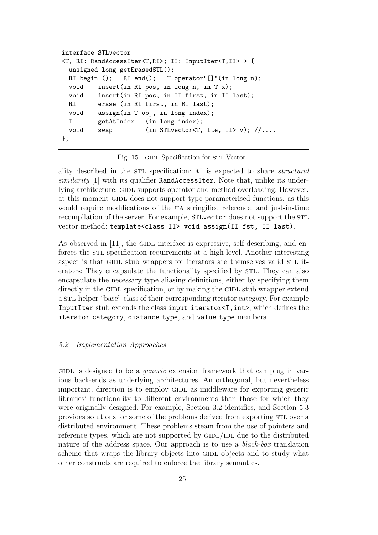```
interface STLvector
<T, RI:-RandAccessIter<T,RI>; II:-InputIter<T,II> > {
 unsigned long getErasedSTL();
 RI begin (); RI end(); T operator"[]"(in long n);
 void insert(in RI pos, in long n, in T x);
 void insert(in RI pos, in II first, in II last);
 RI erase (in RI first, in RI last);
 void assign(in T obj, in long index);
 T getAtIndex (in long index);
 void swap (in STLvector<T, Ite, II> v); //...};
```
Fig. 15. GIDL Specification for STL Vector.

ality described in the STL specification: RI is expected to share *structural* similarity [1] with its qualifier RandAccessIter. Note that, unlike its underlying architecture, GIDL supports operator and method overloading. However, at this moment GIDL does not support type-parameterised functions, as this would require modifications of the UA stringified reference, and just-in-time recompilation of the server. For example, STLvector does not support the STL vector method: template<class II> void assign(II fst, II last).

As observed in [11], the GIDL interface is expressive, self-describing, and enforces the STL specification requirements at a high-level. Another interesting aspect is that GIDL stub wrappers for iterators are themselves valid STL iterators: They encapsulate the functionality specified by STL. They can also encapsulate the necessary type aliasing definitions, either by specifying them directly in the GIDL specification, or by making the GIDL stub wrapper extend a STL-helper "base" class of their corresponding iterator category. For example InputIter stub extends the class input iterator<T,int>, which defines the iterator\_category, distance\_type, and value\_type members.

## 5.2 Implementation Approaches

GIDL is designed to be a *generic* extension framework that can plug in various back-ends as underlying architectures. An orthogonal, but nevertheless important, direction is to employ GIDL as middleware for exporting generic libraries' functionality to different environments than those for which they were originally designed. For example, Section 3.2 identifies, and Section 5.3 provides solutions for some of the problems derived from exporting stl over a distributed environment. These problems steam from the use of pointers and reference types, which are not supported by GIDL/IDL due to the distributed nature of the address space. Our approach is to use a black-box translation scheme that wraps the library objects into GIDL objects and to study what other constructs are required to enforce the library semantics.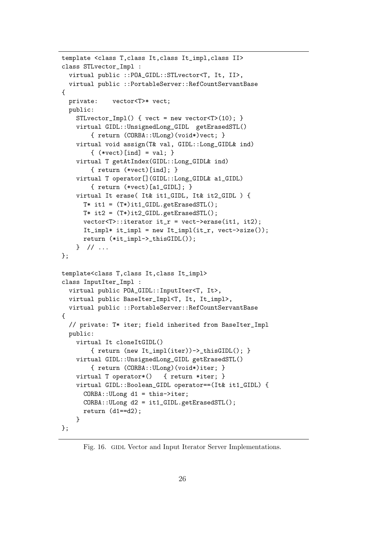```
template <class T,class It,class It_impl,class II>
class STLvector_Impl :
 virtual public ::POA_GIDL::STLvector<T, It, II>,
 virtual public ::PortableServer::RefCountServantBase
{
 private: vector<T>* vect;
 public:
    STLvector\_Impl() { vect = new vector<T>(10); }
    virtual GIDL::UnsignedLong_GIDL getErasedSTL()
        { return (CORBA::ULong)(void*)vect; }
    virtual void assign(T& val, GIDL::Long_GIDL& ind)
        \{ (*vect)[ind] = val; }
    virtual T getAtIndex(GIDL::Long_GIDL& ind)
        { return (*vect)[ind]; }
    virtual T operator[](GIDL::Long_GIDL& a1_GIDL)
        { return (*vect)[a1_GIDL]; }
    virtual It erase( It& it1_GIDL, It& it2_GIDL ) {
      T* it1 = (T*)it1_GIDL.getErasedSTL();
      T* it2 = (T*)it2_GIDL.getErasedSTL();
      vector<T>::iterator it_r = vect->erase(it1, it2);
      It_impl* it_impl = new It_impl(it_r, vect->size());
      return (*it_impl->_thisGIDL());
    } // ...
};
template<class T,class It,class It_impl>
class InputIter_Impl :
 virtual public POA_GIDL::InputIter<T, It>,
 virtual public BaseIter_Impl<T, It, It_impl>,
 virtual public ::PortableServer::RefCountServantBase
{
 // private: T* iter; field inherited from BaseIter_Impl
 public:
    virtual It cloneItGIDL()
        { return (new It_impl(iter))->_thisGIDL(); }
    virtual GIDL::UnsignedLong_GIDL getErasedSTL()
        { return (CORBA::ULong)(void*)iter; }
    virtual T operator*() { return *iter; }
    virtual GIDL::Boolean_GIDL operator==(It& it1_GIDL) {
      CORBA::ULong d1 = this->iter;
      CORBA::ULong d2 = it1_GIDL.getErasedSTL();
      return (d1=-d2);}
};
```
Fig. 16. GIDL Vector and Input Iterator Server Implementations.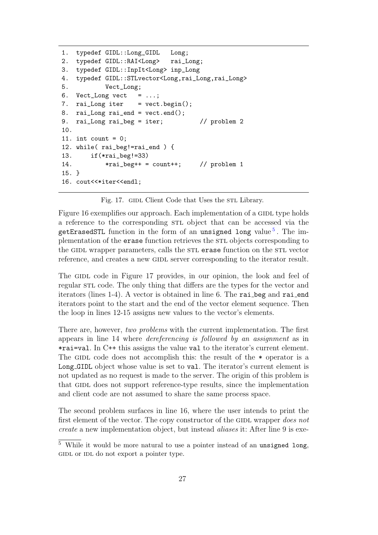```
1. typedef GIDL::Long_GIDL Long;
2. typedef GIDL::RAI<Long> rai_Long;
3. typedef GIDL::InpIt<Long> inp_Long
4. typedef GIDL::STLvector<Long,rai_Long,rai_Long>
5. Vect_Long;
6. Vect_Long vect = \dots;7. rai_Long iter = vect.\begin{align} be: \n\mathbf{r} &\to \n\mathbf{r} \cdot \mathbf{r} &\to \n\mathbf{r} \cdot \mathbf{r} &\to \n\mathbf{r} \cdot \mathbf{r} &\to \n\mathbf{r} \cdot \mathbf{r} &\to \n\mathbf{r} \cdot \mathbf{r} &\to \n\mathbf{r} \cdot \mathbf{r} &\to \n\mathbf{r} \cdot \mathbf{r} &\to \n\mathbf{r} \cdot \mathbf{r} &\to \n\mathbf{r} \cdot \mathbf{r} &\to \n\mathbf{r} \cdot \8. rai_Long rai_end = vect.end();
9. rai_Long rai_beg = iter; // problem 2
10.
11. int count = 0;
12. while( rai_beg!=rai_end ) {
13. if(*rai_beg!=33)
14. *_{\text{rai}\_\text{beg++}} = \text{count++}; // problem 1
15. }
16. cout<<*iter<<endl;
```
Fig. 17. GIDL Client Code that Uses the STL Library.

Figure 16 exemplifies our approach. Each implementation of a GIDL type holds a reference to the corresponding STL object that can be accessed via the getErasedSTL function in the form of an unsigned long value<sup>[5](#page-26-0)</sup>. The implementation of the erase function retrieves the STL objects corresponding to the GIDL wrapper parameters, calls the STL erase function on the STL vector reference, and creates a new GIDL server corresponding to the iterator result.

The GIDL code in Figure 17 provides, in our opinion, the look and feel of regular STL code. The only thing that differs are the types for the vector and iterators (lines 1-4). A vector is obtained in line 6. The rai beg and rai end iterators point to the start and the end of the vector element sequence. Then the loop in lines 12-15 assigns new values to the vector's elements.

There are, however, two problems with the current implementation. The first appears in line 14 where dereferencing is followed by an assignment as in \*rai=val. In C++ this assigns the value val to the iterator's current element. The GIDL code does not accomplish this: the result of the  $*$  operator is a Long GIDL object whose value is set to val. The iterator's current element is not updated as no request is made to the server. The origin of this problem is that GIDL does not support reference-type results, since the implementation and client code are not assumed to share the same process space.

The second problem surfaces in line 16, where the user intends to print the first element of the vector. The copy constructor of the GIDL wrapper does not create a new implementation object, but instead aliases it: After line 9 is exe-

<span id="page-26-0"></span> $5$  While it would be more natural to use a pointer instead of an unsigned long, GIDL or IDL do not export a pointer type.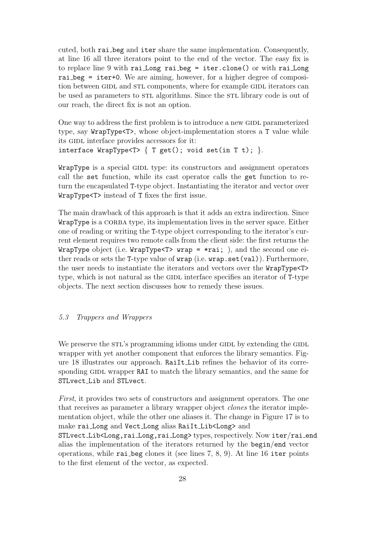cuted, both rai beg and iter share the same implementation. Consequently, at line 16 all three iterators point to the end of the vector. The easy fix is to replace line 9 with rai Long rai beg = iter.clone() or with rai Long rai beg = iter+0. We are aiming, however, for a higher degree of composition between GIDL and STL components, where for example GIDL iterators can be used as parameters to  $STL$  algorithms. Since the  $STL$  library code is out of our reach, the direct fix is not an option.

One way to address the first problem is to introduce a new GIDL parameterized type, say WrapType<T>, whose object-implementation stores a T value while its GIDL interface provides accessors for it:

```
interface WrapType<T> \{T \text{ get}(); void set(in T t); \}.
```
WrapType is a special GIDL type: its constructors and assignment operators call the set function, while its cast operator calls the get function to return the encapsulated T-type object. Instantiating the iterator and vector over WrapType<T> instead of T fixes the first issue.

The main drawback of this approach is that it adds an extra indirection. Since WrapType is a CORBA type, its implementation lives in the server space. Either one of reading or writing the T-type object corresponding to the iterator's current element requires two remote calls from the client side: the first returns the WrapType object (i.e. WrapType  $T$  wrap = \*rai; ), and the second one either reads or sets the T-type value of wrap (i.e. wrap.set(val)). Furthermore, the user needs to instantiate the iterators and vectors over the WrapType<T> type, which is not natural as the GIDL interface specifies an iterator of  $T$ -type objects. The next section discusses how to remedy these issues.

# 5.3 Trappers and Wrappers

We preserve the STL's programming idioms under GIDL by extending the GIDL wrapper with yet another component that enforces the library semantics. Figure 18 illustrates our approach. RaiIt Lib refines the behavior of its corresponding GIDL wrapper RAI to match the library semantics, and the same for STLvect Lib and STLvect.

First, it provides two sets of constructors and assignment operators. The one that receives as parameter a library wrapper object clones the iterator implementation object, while the other one aliases it. The change in Figure 17 is to make rai Long and Vect Long alias RaiIt Lib<Long> and

STLvect Lib<Long,rai Long,rai Long> types, respectively. Now iter/rai end alias the implementation of the iterators returned by the begin/end vector operations, while rai beg clones it (see lines 7, 8, 9). At line 16 iter points to the first element of the vector, as expected.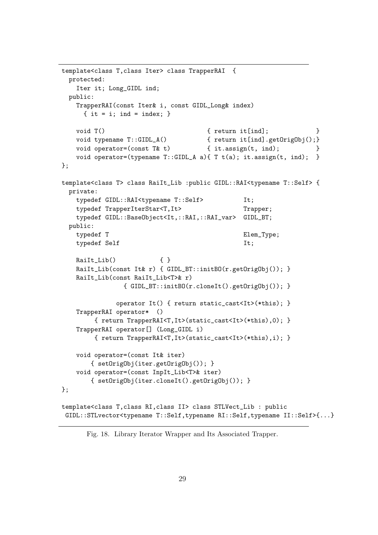```
template<class T,class Iter> class TrapperRAI {
 protected:
   Iter it; Long_GIDL ind;
 public:
   TrapperRAI(const Iter& i, const GIDL_Long& index)
     { it = i; ind = index; }
   void T() \{ return it [ind];
   void typename T: GIDL_A() { return it[ind].getOrigObj();}
   void operator=(const T& t) { it.assign(t, ind); }
   void operator=(typename T::GIDL_A a){ T t(a); it.assign(t, ind); }
};
template<class T> class RaiIt_Lib :public GIDL::RAI<typename T::Self> {
 private:
   typedef GIDL::RAI<typename T::Self> It;
   typedef TrapperIterStar<T,It>
Trapper;
   typedef GIDL::BaseObject<It,::RAI,::RAI_var> GIDL_BT;
 public:
   typedef T Elem_Type;
   typedef Self It;
   Railt\_Lib() { }
   RaiIt_Lib(const It& r) { GIDL_BT::initBO(r.getOrigObj()); }
   RaiIt_Lib(const RaiIt_Lib<T>& r)
               { GIDL_BT::initBO(r.cloneIt().getOrigObj()); }
             operator It() { return static_cast<It>(*this); }
   TrapperRAI operator* ()
        { return TrapperRAI<T,It>(static_cast<It>(*this),0); }
   TrapperRAI operator[] (Long_GIDL i)
        { return TrapperRAI<T,It>(static_cast<It>(*this),i); }
   void operator=(const It& iter)
       { setOrigObj(iter.getOrigObj()); }
   void operator=(const InpIt_Lib<T>& iter)
       { setOrigObj(iter.cloneIt().getOrigObj()); }
};
template<class T,class RI,class II> class STLVect_Lib : public
GIDL::STLvector<typename T::Self,typename RI::Self,typename II::Self>{...}
```
Fig. 18. Library Iterator Wrapper and Its Associated Trapper.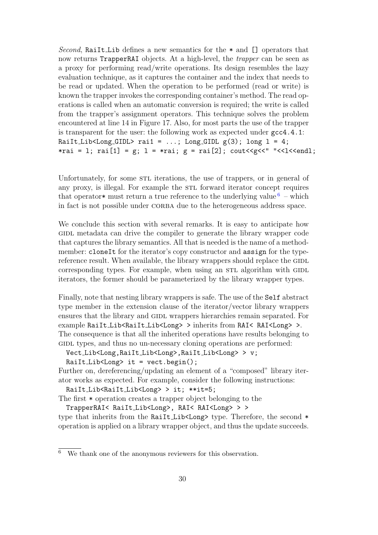Second, RaiIt Lib defines a new semantics for the \* and [] operators that now returns TrapperRAI objects. At a high-level, the trapper can be seen as a proxy for performing read/write operations. Its design resembles the lazy evaluation technique, as it captures the container and the index that needs to be read or updated. When the operation to be performed (read or write) is known the trapper invokes the corresponding container's method. The read operations is called when an automatic conversion is required; the write is called from the trapper's assignment operators. This technique solves the problem encountered at line 14 in Figure 17. Also, for most parts the use of the trapper is transparent for the user: the following work as expected under gcc4.4.1: RaiIt Lib<Long GIDL> rai1 = ...; Long GIDL  $g(3)$ ; long 1 = 4; \*rai = 1; rai[1] = g; 1 = \*rai; g = rai[2]; cout<<g<<" "<<l<<er><<cout;

Unfortunately, for some STL iterations, the use of trappers, or in general of any proxy, is illegal. For example the STL forward iterator concept requires that operator\* must return a true reference to the underlying value  $6 6 -$  which in fact is not possible under CORBA due to the heterogeneous address space.

We conclude this section with several remarks. It is easy to anticipate how gidl metadata can drive the compiler to generate the library wrapper code that captures the library semantics. All that is needed is the name of a methodmember: cloneIt for the iterator's copy constructor and assign for the typereference result. When available, the library wrappers should replace the GIDL corresponding types. For example, when using an STL algorithm with GIDL iterators, the former should be parameterized by the library wrapper types.

Finally, note that nesting library wrappers is safe. The use of the Self abstract type member in the extension clause of the iterator/vector library wrappers ensures that the library and GIDL wrappers hierarchies remain separated. For example RaiIt Lib<RaiIt Lib<Long> > inherits from RAI< RAI<Long> >. The consequence is that all the inherited operations have results belonging to GIDL types, and thus no un-necessary cloning operations are performed:

Vect Lib<Long,RaiIt Lib<Long>,RaiIt Lib<Long> > v;

RaiIt Lib<Long> it = vect.begin();

Further on, dereferencing/updating an element of a "composed" library iterator works as expected. For example, consider the following instructions:

RaiIt Lib<RaiIt Lib<Long> > it; \*\*it=5;

The first \* operation creates a trapper object belonging to the

TrapperRAI< RaiIt Lib<Long>, RAI< RAI<Long> > >

type that inherits from the RaiIt Lib $\text{Long}$  type. Therefore, the second  $*$ operation is applied on a library wrapper object, and thus the update succeeds.

<span id="page-29-0"></span><sup>6</sup> We thank one of the anonymous reviewers for this observation.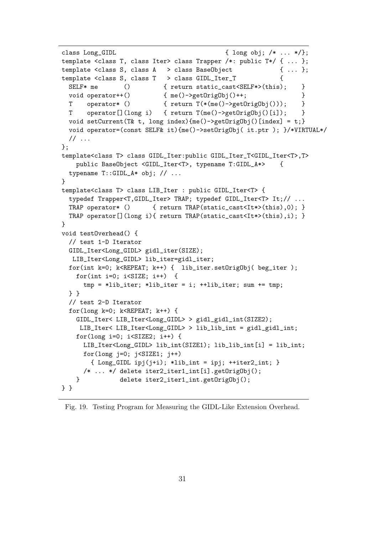```
class Long_GIDL \{ \text{long obj}; /* ... * \};
template <class T, class Iter> class Trapper /*: public T*/ { ... };
template <class S, class A > class BaseObject { ... };
template <class S, class T > class GIDL_Iter_T {
 SELF* me () { return static_cast<SELF*>(this); }
 void operator++() \{ me() \rightarrow getOrigObj()++; \}T operator* () { return T(*(me()->getOrigObj())); }
 T operator[](long i) { return T(me()->getOrigObj()[i]); }
 void setCurrent(T& t, long index){me()->getOrigObj()[index] = t;}
 void operator=(const SELF& it){me()->setOrigObj( it.ptr ); }/*VIRTUAL*/
 // ...
};
template<class T> class GIDL_Iter:public GIDL_Iter_T<GIDL_Iter<T>,T>
   public BaseObject <GIDL_Iter<T>, typename T:GIDL_A*> {
 typename T::GIDL_A* obj; // ...
}
template<class T> class LIB_Iter : public GIDL_Iter<T> {
 typedef Trapper<T,GIDL_Iter> TRAP; typedef GIDL_Iter<T> It;// ...
 TRAP operator* () { return TRAP(static_cast<It*>(this),0); }
 TRAP operator[](long i){ return TRAP(static_cast<It*>(this),i); }
}
void testOverhead() {
 // test 1-D Iterator
 GIDL_Iter<Long_GIDL> gidl_iter(SIZE);
  LIB_Iter<Long_GIDL> lib_iter=gidl_iter;
 for(int k=0; k<REPEAT; k++) { lib_iter.setOrigObj( beg_iter );
   for(int i=0; i<SIZE; i++) \{tmp = *lib_iter; *lib_iter = i; ++lib_iter; sum += tmp;
 } }
 // test 2-D Iterator
 for(long k=0; k<REPEAT; k++) {
   GIDL_Iter< LIB_Iter<Long_GIDL> > gidl_gidl_int(SIZE2);
    LIB_Iter< LIB_Iter<Long_GIDL> > lib_lib_int = gidl_gidl_int;
   for(long i=0; i<SIZE2; i++) {
     LIB_Iter<Long_GIDL> lib_int(SIZE1); lib_lib_int[i] = lib_int;
     for(long j=0; j<SIZE1; j++){ Long_GIDL ipj(j+i); *lib_int = ipj; ++iter2_int; }
     /* ... */ delete iter2_iter1_int[i].getOrigObj();
   } delete iter2_iter1_int.getOrigObj();
} }
```

```
Fig. 19. Testing Program for Measuring the GIDL-Like Extension Overhead.
```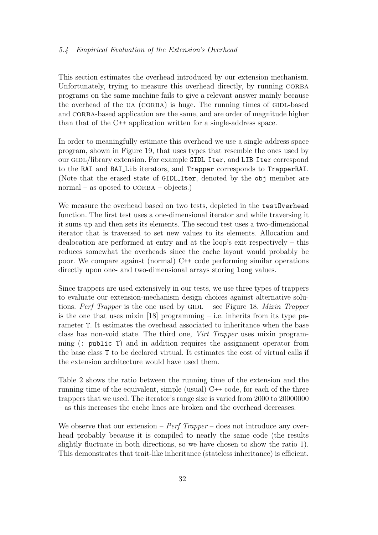#### 5.4 Empirical Evaluation of the Extension's Overhead

This section estimates the overhead introduced by our extension mechanism. Unfortunately, trying to measure this overhead directly, by running CORBA programs on the same machine fails to give a relevant answer mainly because the overhead of the UA (CORBA) is huge. The running times of GIDL-based and CORBA-based application are the same, and are order of magnitude higher than that of the C++ application written for a single-address space.

In order to meaningfully estimate this overhead we use a single-address space program, shown in Figure 19, that uses types that resemble the ones used by our GIDL/library extension. For example GIDL Iter, and LIB Iter correspond to the RAI and RAI Lib iterators, and Trapper corresponds to TrapperRAI. (Note that the erased state of GIDL Iter, denoted by the obj member are  $normal - as opposed to CORBA - objects.$ 

We measure the overhead based on two tests, depicted in the test0verhead function. The first test uses a one-dimensional iterator and while traversing it it sums up and then sets its elements. The second test uses a two-dimensional iterator that is traversed to set new values to its elements. Allocation and dealocation are performed at entry and at the loop's exit respectively – this reduces somewhat the overheads since the cache layout would probably be poor. We compare against (normal) C++ code performing similar operations directly upon one- and two-dimensional arrays storing long values.

Since trappers are used extensively in our tests, we use three types of trappers to evaluate our extension-mechanism design choices against alternative solutions. Perf Trapper is the one used by  $GIDL - see Figure 18$ . Mixin Trapper is the one that uses mixin  $[18]$  programming – i.e. inherits from its type parameter T. It estimates the overhead associated to inheritance when the base class has non-void state. The third one, Virt Trapper uses mixin programming (: public T) and in addition requires the assignment operator from the base class T to be declared virtual. It estimates the cost of virtual calls if the extension architecture would have used them.

Table 2 shows the ratio between the running time of the extension and the running time of the equivalent, simple (usual) C++ code, for each of the three trappers that we used. The iterator's range size is varied from 2000 to 20000000 – as this increases the cache lines are broken and the overhead decreases.

We observe that our extension –  $Perf$  Trapper – does not introduce any overhead probably because it is compiled to nearly the same code (the results slightly fluctuate in both directions, so we have chosen to show the ratio 1). This demonstrates that trait-like inheritance (stateless inheritance) is efficient.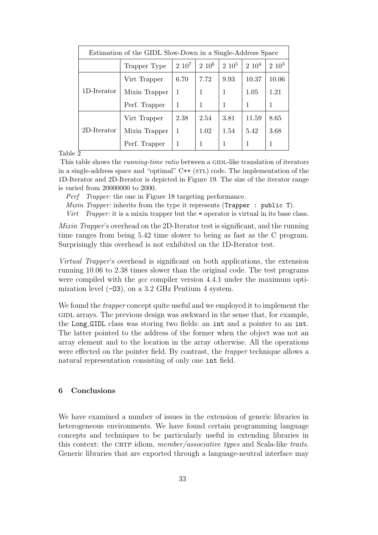| Estimation of the GIDL Slow-Down in a Single-Address Space |               |           |           |           |                   |           |  |  |  |
|------------------------------------------------------------|---------------|-----------|-----------|-----------|-------------------|-----------|--|--|--|
|                                                            | Trapper Type  | $2\;10^7$ | $2\;10^6$ | $2\;10^5$ | 2.10 <sup>4</sup> | $2\;10^3$ |  |  |  |
| 1D-Iterator                                                | Virt Trapper  | 6.70      | 7.72      | 9.93      | 10.37             | 10.06     |  |  |  |
|                                                            | Mixin Trapper | 1         | 1         | 1         | 1.05              | 1.21      |  |  |  |
|                                                            | Perf. Trapper | 1         | 1         | 1         | 1                 | 1         |  |  |  |
| 2D-Iterator                                                | Virt Trapper  | 2.38      | 2.54      | 3.81      | 11.59             | 8.65      |  |  |  |
|                                                            | Mixin Trapper | 1         | 1.02      | 1.54      | 5.42              | 3.68      |  |  |  |
|                                                            | Perf. Trapper |           | 1         |           | 1                 | 1         |  |  |  |

Table  $2$ 

This table shows the *running-time ratio* between a GIDL-like translation of iterators in a single-address space and "optimal"  $C++$  ( $STL$ ) code. The implementation of the 1D-Iterator and 2D-Iterator is depicted in Figure 19. The size of the iterator range is varied from 20000000 to 2000.

Perf Trapper: the one in Figure 18 targeting performance.

Mixin Trapper: inherits from the type it represents (Trapper: public T).

Virt Trapper: it is a mixin trapper but the = operator is virtual in its base class.

Mixin Trapper's overhead on the 2D-Iterator test is significant, and the running time ranges from being 5.42 time slower to being as fast as the C program. Surprisingly this overhead is not exhibited on the 1D-Iterator test.

Virtual Trapper's overhead is significant on both applications, the extension running 10.06 to 2.38 times slower than the original code. The test programs were compiled with the *gcc* compiler version 4.4.1 under the maximum optimization level  $(-03)$ , on a 3.2 GHz Pentium 4 system.

We found the *trapper* concept quite useful and we employed it to implement the gidl arrays. The previous design was awkward in the sense that, for example, the Long GIDL class was storing two fields: an int and a pointer to an int. The latter pointed to the address of the former when the object was not an array element and to the location in the array otherwise. All the operations were effected on the pointer field. By contrast, the trapper technique allows a natural representation consisting of only one int field.

## 6 Conclusions

We have examined a number of issues in the extension of generic libraries in heterogeneous environments. We have found certain programming language concepts and techniques to be particularly useful in extending libraries in this context: the CRTP idiom, *member/associative types* and Scala-like traits. Generic libraries that are exported through a language-neutral interface may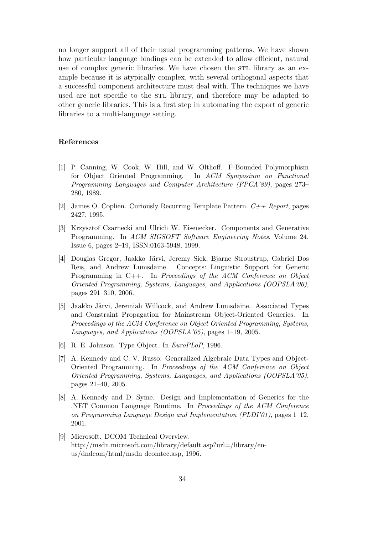no longer support all of their usual programming patterns. We have shown how particular language bindings can be extended to allow efficient, natural use of complex generic libraries. We have chosen the STL library as an example because it is atypically complex, with several orthogonal aspects that a successful component architecture must deal with. The techniques we have used are not specific to the STL library, and therefore may be adapted to other generic libraries. This is a first step in automating the export of generic libraries to a multi-language setting.

#### References

- [1] P. Canning, W. Cook, W. Hill, and W. Olthoff. F-Bounded Polymorphism for Object Oriented Programming. In ACM Symposium on Functional Programming Languages and Computer Architecture (FPCA'89), pages 273– 280, 1989.
- [2] James O. Coplien. Curiously Recurring Template Pattern.  $C_{+}+$  Report, pages 2427, 1995.
- [3] Krzysztof Czarnecki and Ulrich W. Eisenecker. Components and Generative Programming. In ACM SIGSOFT Software Engineering Notes, Volume 24, Issue 6, pages 2–19, ISSN:0163-5948, 1999.
- [4] Douglas Gregor, Jaakko Järvi, Jeremy Siek, Bjarne Stroustrup, Gabriel Dos Reis, and Andrew Lumsdaine. Concepts: Linguistic Support for Generic Programming in C++. In Proceedings of the ACM Conference on Object Oriented Programming, Systems, Languages, and Applications (OOPSLA'06), pages 291–310, 2006.
- [5] Jaakko Järvi, Jeremiah Willcock, and Andrew Lumsdaine. Associated Types and Constraint Propagation for Mainstream Object-Oriented Generics. In Proceedings of the ACM Conference on Object Oriented Programming, Systems, Languages, and Applications (OOPSLA'05), pages 1–19, 2005.
- [6] R. E. Johnson. Type Object. In EuroPLoP, 1996.
- [7] A. Kennedy and C. V. Russo. Generalized Algebraic Data Types and Object-Oriented Programming. In Proceedings of the ACM Conference on Object Oriented Programming, Systems, Languages, and Applications (OOPSLA'05), pages 21–40, 2005.
- [8] A. Kennedy and D. Syme. Design and Implementation of Generics for the .NET Common Language Runtime. In Proceedings of the ACM Conference on Programming Language Design and Implementation (PLDI'01), pages 1–12, 2001.
- [9] Microsoft. DCOM Technical Overview. http://msdn.microsoft.com/library/default.asp?url=/library/enus/dndcom/html/msdn dcomtec.asp, 1996.